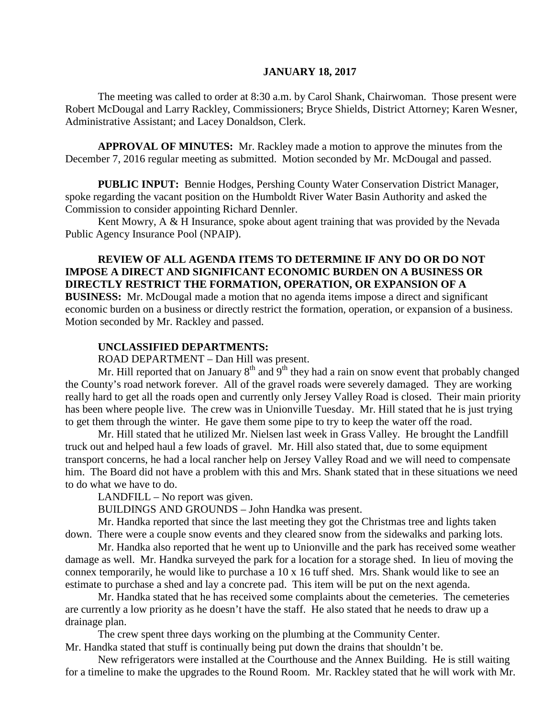#### **JANUARY 18, 2017**

The meeting was called to order at 8:30 a.m. by Carol Shank, Chairwoman. Those present were Robert McDougal and Larry Rackley, Commissioners; Bryce Shields, District Attorney; Karen Wesner, Administrative Assistant; and Lacey Donaldson, Clerk.

**APPROVAL OF MINUTES:** Mr. Rackley made a motion to approve the minutes from the December 7, 2016 regular meeting as submitted. Motion seconded by Mr. McDougal and passed.

**PUBLIC INPUT:** Bennie Hodges, Pershing County Water Conservation District Manager, spoke regarding the vacant position on the Humboldt River Water Basin Authority and asked the Commission to consider appointing Richard Dennler.

Kent Mowry, A & H Insurance, spoke about agent training that was provided by the Nevada Public Agency Insurance Pool (NPAIP).

### **REVIEW OF ALL AGENDA ITEMS TO DETERMINE IF ANY DO OR DO NOT IMPOSE A DIRECT AND SIGNIFICANT ECONOMIC BURDEN ON A BUSINESS OR DIRECTLY RESTRICT THE FORMATION, OPERATION, OR EXPANSION OF A**

**BUSINESS:** Mr. McDougal made a motion that no agenda items impose a direct and significant economic burden on a business or directly restrict the formation, operation, or expansion of a business. Motion seconded by Mr. Rackley and passed.

#### **UNCLASSIFIED DEPARTMENTS:**

ROAD DEPARTMENT – Dan Hill was present.

Mr. Hill reported that on January  $8<sup>th</sup>$  and  $9<sup>th</sup>$  they had a rain on snow event that probably changed the County's road network forever. All of the gravel roads were severely damaged. They are working really hard to get all the roads open and currently only Jersey Valley Road is closed. Their main priority has been where people live. The crew was in Unionville Tuesday. Mr. Hill stated that he is just trying to get them through the winter. He gave them some pipe to try to keep the water off the road.

Mr. Hill stated that he utilized Mr. Nielsen last week in Grass Valley. He brought the Landfill truck out and helped haul a few loads of gravel. Mr. Hill also stated that, due to some equipment transport concerns, he had a local rancher help on Jersey Valley Road and we will need to compensate him. The Board did not have a problem with this and Mrs. Shank stated that in these situations we need to do what we have to do.

LANDFILL – No report was given.

BUILDINGS AND GROUNDS – John Handka was present.

Mr. Handka reported that since the last meeting they got the Christmas tree and lights taken down. There were a couple snow events and they cleared snow from the sidewalks and parking lots.

Mr. Handka also reported that he went up to Unionville and the park has received some weather damage as well. Mr. Handka surveyed the park for a location for a storage shed. In lieu of moving the connex temporarily, he would like to purchase a 10 x 16 tuff shed. Mrs. Shank would like to see an estimate to purchase a shed and lay a concrete pad. This item will be put on the next agenda.

Mr. Handka stated that he has received some complaints about the cemeteries. The cemeteries are currently a low priority as he doesn't have the staff. He also stated that he needs to draw up a drainage plan.

The crew spent three days working on the plumbing at the Community Center. Mr. Handka stated that stuff is continually being put down the drains that shouldn't be.

New refrigerators were installed at the Courthouse and the Annex Building. He is still waiting for a timeline to make the upgrades to the Round Room. Mr. Rackley stated that he will work with Mr.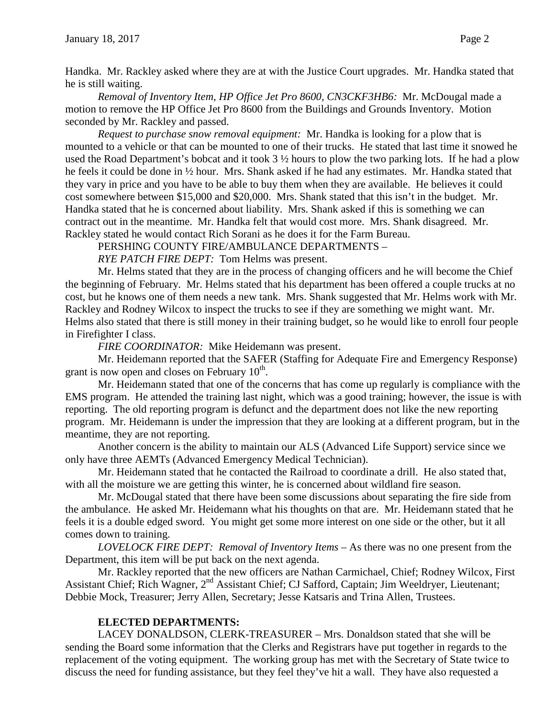Handka. Mr. Rackley asked where they are at with the Justice Court upgrades. Mr. Handka stated that he is still waiting.

*Removal of Inventory Item, HP Office Jet Pro 8600, CN3CKF3HB6:* Mr. McDougal made a motion to remove the HP Office Jet Pro 8600 from the Buildings and Grounds Inventory. Motion seconded by Mr. Rackley and passed.

*Request to purchase snow removal equipment:* Mr. Handka is looking for a plow that is mounted to a vehicle or that can be mounted to one of their trucks. He stated that last time it snowed he used the Road Department's bobcat and it took 3 ½ hours to plow the two parking lots. If he had a plow he feels it could be done in ½ hour. Mrs. Shank asked if he had any estimates. Mr. Handka stated that they vary in price and you have to be able to buy them when they are available. He believes it could cost somewhere between \$15,000 and \$20,000. Mrs. Shank stated that this isn't in the budget. Mr. Handka stated that he is concerned about liability. Mrs. Shank asked if this is something we can contract out in the meantime. Mr. Handka felt that would cost more. Mrs. Shank disagreed. Mr. Rackley stated he would contact Rich Sorani as he does it for the Farm Bureau.

PERSHING COUNTY FIRE/AMBULANCE DEPARTMENTS –

*RYE PATCH FIRE DEPT:* Tom Helms was present.

Mr. Helms stated that they are in the process of changing officers and he will become the Chief the beginning of February. Mr. Helms stated that his department has been offered a couple trucks at no cost, but he knows one of them needs a new tank. Mrs. Shank suggested that Mr. Helms work with Mr. Rackley and Rodney Wilcox to inspect the trucks to see if they are something we might want. Mr. Helms also stated that there is still money in their training budget, so he would like to enroll four people in Firefighter I class.

*FIRE COORDINATOR:* Mike Heidemann was present.

Mr. Heidemann reported that the SAFER (Staffing for Adequate Fire and Emergency Response) grant is now open and closes on February  $10<sup>th</sup>$ .

Mr. Heidemann stated that one of the concerns that has come up regularly is compliance with the EMS program. He attended the training last night, which was a good training; however, the issue is with reporting. The old reporting program is defunct and the department does not like the new reporting program. Mr. Heidemann is under the impression that they are looking at a different program, but in the meantime, they are not reporting.

Another concern is the ability to maintain our ALS (Advanced Life Support) service since we only have three AEMTs (Advanced Emergency Medical Technician).

Mr. Heidemann stated that he contacted the Railroad to coordinate a drill. He also stated that, with all the moisture we are getting this winter, he is concerned about wildland fire season.

Mr. McDougal stated that there have been some discussions about separating the fire side from the ambulance. He asked Mr. Heidemann what his thoughts on that are. Mr. Heidemann stated that he feels it is a double edged sword. You might get some more interest on one side or the other, but it all comes down to training.

*LOVELOCK FIRE DEPT: Removal of Inventory Items –* As there was no one present from the Department, this item will be put back on the next agenda.

Mr. Rackley reported that the new officers are Nathan Carmichael, Chief; Rodney Wilcox, First Assistant Chief; Rich Wagner, 2<sup>nd</sup> Assistant Chief; CJ Safford, Captain; Jim Weeldryer, Lieutenant; Debbie Mock, Treasurer; Jerry Allen, Secretary; Jesse Katsaris and Trina Allen, Trustees.

### **ELECTED DEPARTMENTS:**

LACEY DONALDSON, CLERK-TREASURER – Mrs. Donaldson stated that she will be sending the Board some information that the Clerks and Registrars have put together in regards to the replacement of the voting equipment. The working group has met with the Secretary of State twice to discuss the need for funding assistance, but they feel they've hit a wall. They have also requested a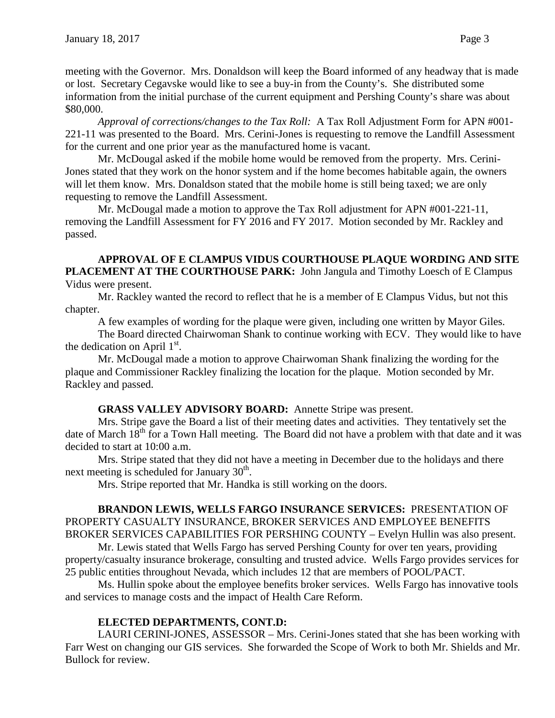meeting with the Governor. Mrs. Donaldson will keep the Board informed of any headway that is made or lost. Secretary Cegavske would like to see a buy-in from the County's. She distributed some information from the initial purchase of the current equipment and Pershing County's share was about \$80,000.

*Approval of corrections/changes to the Tax Roll:* A Tax Roll Adjustment Form for APN #001- 221-11 was presented to the Board. Mrs. Cerini-Jones is requesting to remove the Landfill Assessment for the current and one prior year as the manufactured home is vacant.

Mr. McDougal asked if the mobile home would be removed from the property. Mrs. Cerini-Jones stated that they work on the honor system and if the home becomes habitable again, the owners will let them know. Mrs. Donaldson stated that the mobile home is still being taxed; we are only requesting to remove the Landfill Assessment.

Mr. McDougal made a motion to approve the Tax Roll adjustment for APN #001-221-11, removing the Landfill Assessment for FY 2016 and FY 2017. Motion seconded by Mr. Rackley and passed.

**APPROVAL OF E CLAMPUS VIDUS COURTHOUSE PLAQUE WORDING AND SITE PLACEMENT AT THE COURTHOUSE PARK:** John Jangula and Timothy Loesch of E Clampus Vidus were present.

Mr. Rackley wanted the record to reflect that he is a member of E Clampus Vidus, but not this chapter.

A few examples of wording for the plaque were given, including one written by Mayor Giles.

The Board directed Chairwoman Shank to continue working with ECV. They would like to have the dedication on April  $1<sup>st</sup>$ .

Mr. McDougal made a motion to approve Chairwoman Shank finalizing the wording for the plaque and Commissioner Rackley finalizing the location for the plaque. Motion seconded by Mr. Rackley and passed.

## **GRASS VALLEY ADVISORY BOARD:** Annette Stripe was present.

Mrs. Stripe gave the Board a list of their meeting dates and activities. They tentatively set the date of March 18<sup>th</sup> for a Town Hall meeting. The Board did not have a problem with that date and it was decided to start at 10:00 a.m.

Mrs. Stripe stated that they did not have a meeting in December due to the holidays and there next meeting is scheduled for January  $30<sup>th</sup>$ .

Mrs. Stripe reported that Mr. Handka is still working on the doors.

### **BRANDON LEWIS, WELLS FARGO INSURANCE SERVICES:** PRESENTATION OF PROPERTY CASUALTY INSURANCE, BROKER SERVICES AND EMPLOYEE BENEFITS BROKER SERVICES CAPABILITIES FOR PERSHING COUNTY – Evelyn Hullin was also present.

Mr. Lewis stated that Wells Fargo has served Pershing County for over ten years, providing property/casualty insurance brokerage, consulting and trusted advice. Wells Fargo provides services for 25 public entities throughout Nevada, which includes 12 that are members of POOL/PACT.

Ms. Hullin spoke about the employee benefits broker services. Wells Fargo has innovative tools and services to manage costs and the impact of Health Care Reform.

# **ELECTED DEPARTMENTS, CONT.D:**

LAURI CERINI-JONES, ASSESSOR – Mrs. Cerini-Jones stated that she has been working with Farr West on changing our GIS services. She forwarded the Scope of Work to both Mr. Shields and Mr. Bullock for review.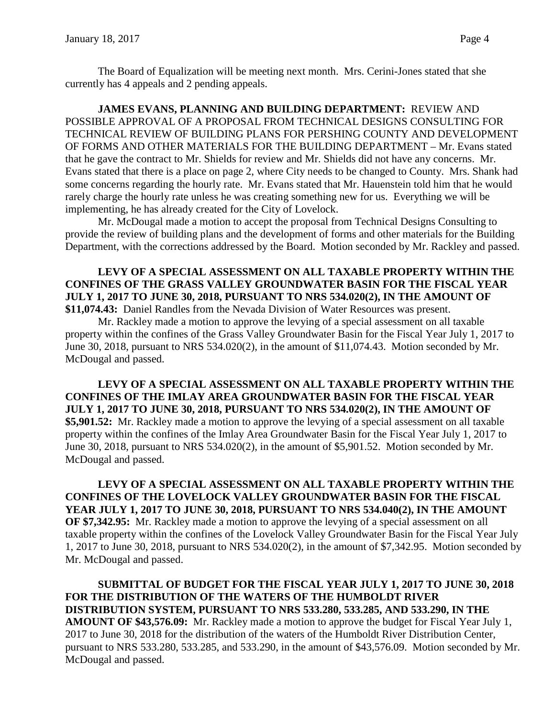The Board of Equalization will be meeting next month. Mrs. Cerini-Jones stated that she currently has 4 appeals and 2 pending appeals.

**JAMES EVANS, PLANNING AND BUILDING DEPARTMENT:** REVIEW AND POSSIBLE APPROVAL OF A PROPOSAL FROM TECHNICAL DESIGNS CONSULTING FOR TECHNICAL REVIEW OF BUILDING PLANS FOR PERSHING COUNTY AND DEVELOPMENT OF FORMS AND OTHER MATERIALS FOR THE BUILDING DEPARTMENT – Mr. Evans stated that he gave the contract to Mr. Shields for review and Mr. Shields did not have any concerns. Mr. Evans stated that there is a place on page 2, where City needs to be changed to County. Mrs. Shank had some concerns regarding the hourly rate. Mr. Evans stated that Mr. Hauenstein told him that he would rarely charge the hourly rate unless he was creating something new for us. Everything we will be implementing, he has already created for the City of Lovelock.

Mr. McDougal made a motion to accept the proposal from Technical Designs Consulting to provide the review of building plans and the development of forms and other materials for the Building Department, with the corrections addressed by the Board. Motion seconded by Mr. Rackley and passed.

**LEVY OF A SPECIAL ASSESSMENT ON ALL TAXABLE PROPERTY WITHIN THE CONFINES OF THE GRASS VALLEY GROUNDWATER BASIN FOR THE FISCAL YEAR JULY 1, 2017 TO JUNE 30, 2018, PURSUANT TO NRS 534.020(2), IN THE AMOUNT OF \$11,074.43:** Daniel Randles from the Nevada Division of Water Resources was present.

Mr. Rackley made a motion to approve the levying of a special assessment on all taxable property within the confines of the Grass Valley Groundwater Basin for the Fiscal Year July 1, 2017 to June 30, 2018, pursuant to NRS 534.020(2), in the amount of \$11,074.43. Motion seconded by Mr. McDougal and passed.

**LEVY OF A SPECIAL ASSESSMENT ON ALL TAXABLE PROPERTY WITHIN THE CONFINES OF THE IMLAY AREA GROUNDWATER BASIN FOR THE FISCAL YEAR JULY 1, 2017 TO JUNE 30, 2018, PURSUANT TO NRS 534.020(2), IN THE AMOUNT OF \$5,901.52:** Mr. Rackley made a motion to approve the levying of a special assessment on all taxable property within the confines of the Imlay Area Groundwater Basin for the Fiscal Year July 1, 2017 to June 30, 2018, pursuant to NRS 534.020(2), in the amount of \$5,901.52. Motion seconded by Mr. McDougal and passed.

**LEVY OF A SPECIAL ASSESSMENT ON ALL TAXABLE PROPERTY WITHIN THE CONFINES OF THE LOVELOCK VALLEY GROUNDWATER BASIN FOR THE FISCAL YEAR JULY 1, 2017 TO JUNE 30, 2018, PURSUANT TO NRS 534.040(2), IN THE AMOUNT OF \$7,342.95:** Mr. Rackley made a motion to approve the levying of a special assessment on all taxable property within the confines of the Lovelock Valley Groundwater Basin for the Fiscal Year July 1, 2017 to June 30, 2018, pursuant to NRS 534.020(2), in the amount of \$7,342.95. Motion seconded by Mr. McDougal and passed.

**SUBMITTAL OF BUDGET FOR THE FISCAL YEAR JULY 1, 2017 TO JUNE 30, 2018 FOR THE DISTRIBUTION OF THE WATERS OF THE HUMBOLDT RIVER DISTRIBUTION SYSTEM, PURSUANT TO NRS 533.280, 533.285, AND 533.290, IN THE AMOUNT OF \$43,576.09:** Mr. Rackley made a motion to approve the budget for Fiscal Year July 1, 2017 to June 30, 2018 for the distribution of the waters of the Humboldt River Distribution Center, pursuant to NRS 533.280, 533.285, and 533.290, in the amount of \$43,576.09. Motion seconded by Mr. McDougal and passed.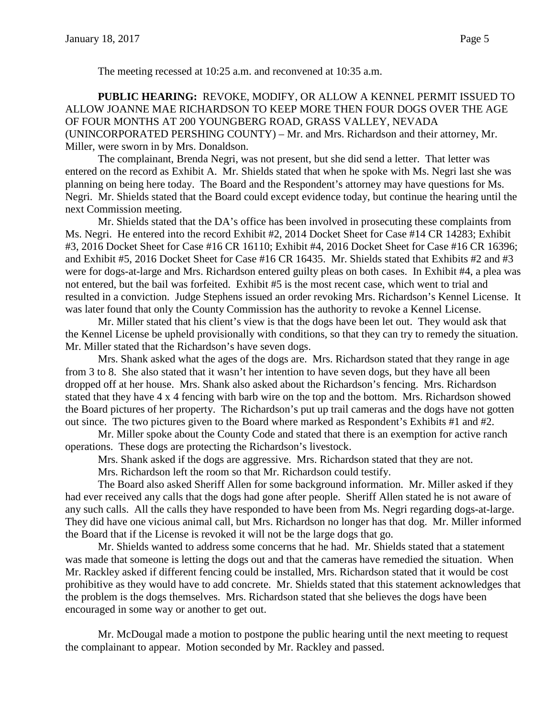**PUBLIC HEARING:** REVOKE, MODIFY, OR ALLOW A KENNEL PERMIT ISSUED TO ALLOW JOANNE MAE RICHARDSON TO KEEP MORE THEN FOUR DOGS OVER THE AGE OF FOUR MONTHS AT 200 YOUNGBERG ROAD, GRASS VALLEY, NEVADA (UNINCORPORATED PERSHING COUNTY) – Mr. and Mrs. Richardson and their attorney, Mr. Miller, were sworn in by Mrs. Donaldson.

The complainant, Brenda Negri, was not present, but she did send a letter. That letter was entered on the record as Exhibit A. Mr. Shields stated that when he spoke with Ms. Negri last she was planning on being here today. The Board and the Respondent's attorney may have questions for Ms. Negri. Mr. Shields stated that the Board could except evidence today, but continue the hearing until the next Commission meeting.

Mr. Shields stated that the DA's office has been involved in prosecuting these complaints from Ms. Negri. He entered into the record Exhibit #2, 2014 Docket Sheet for Case #14 CR 14283; Exhibit #3, 2016 Docket Sheet for Case #16 CR 16110; Exhibit #4, 2016 Docket Sheet for Case #16 CR 16396; and Exhibit #5, 2016 Docket Sheet for Case #16 CR 16435. Mr. Shields stated that Exhibits #2 and #3 were for dogs-at-large and Mrs. Richardson entered guilty pleas on both cases. In Exhibit #4, a plea was not entered, but the bail was forfeited. Exhibit #5 is the most recent case, which went to trial and resulted in a conviction. Judge Stephens issued an order revoking Mrs. Richardson's Kennel License. It was later found that only the County Commission has the authority to revoke a Kennel License.

Mr. Miller stated that his client's view is that the dogs have been let out. They would ask that the Kennel License be upheld provisionally with conditions, so that they can try to remedy the situation. Mr. Miller stated that the Richardson's have seven dogs.

Mrs. Shank asked what the ages of the dogs are. Mrs. Richardson stated that they range in age from 3 to 8. She also stated that it wasn't her intention to have seven dogs, but they have all been dropped off at her house. Mrs. Shank also asked about the Richardson's fencing. Mrs. Richardson stated that they have 4 x 4 fencing with barb wire on the top and the bottom. Mrs. Richardson showed the Board pictures of her property. The Richardson's put up trail cameras and the dogs have not gotten out since. The two pictures given to the Board where marked as Respondent's Exhibits #1 and #2.

Mr. Miller spoke about the County Code and stated that there is an exemption for active ranch operations. These dogs are protecting the Richardson's livestock.

Mrs. Shank asked if the dogs are aggressive. Mrs. Richardson stated that they are not.

Mrs. Richardson left the room so that Mr. Richardson could testify.

The Board also asked Sheriff Allen for some background information. Mr. Miller asked if they had ever received any calls that the dogs had gone after people. Sheriff Allen stated he is not aware of any such calls. All the calls they have responded to have been from Ms. Negri regarding dogs-at-large. They did have one vicious animal call, but Mrs. Richardson no longer has that dog. Mr. Miller informed the Board that if the License is revoked it will not be the large dogs that go.

Mr. Shields wanted to address some concerns that he had. Mr. Shields stated that a statement was made that someone is letting the dogs out and that the cameras have remedied the situation. When Mr. Rackley asked if different fencing could be installed, Mrs. Richardson stated that it would be cost prohibitive as they would have to add concrete. Mr. Shields stated that this statement acknowledges that the problem is the dogs themselves. Mrs. Richardson stated that she believes the dogs have been encouraged in some way or another to get out.

Mr. McDougal made a motion to postpone the public hearing until the next meeting to request the complainant to appear. Motion seconded by Mr. Rackley and passed.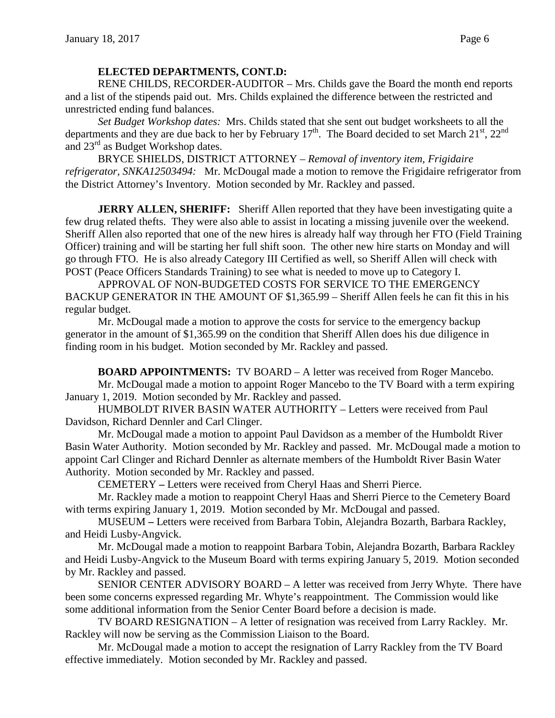## **ELECTED DEPARTMENTS, CONT.D:**

RENE CHILDS, RECORDER-AUDITOR – Mrs. Childs gave the Board the month end reports and a list of the stipends paid out. Mrs. Childs explained the difference between the restricted and unrestricted ending fund balances.

*Set Budget Workshop dates:* Mrs. Childs stated that she sent out budget worksheets to all the departments and they are due back to her by February  $17<sup>th</sup>$ . The Board decided to set March  $21<sup>st</sup>$ ,  $22<sup>nd</sup>$ and  $23<sup>rd</sup>$  as Budget Workshop dates.

BRYCE SHIELDS, DISTRICT ATTORNEY – *Removal of inventory item, Frigidaire refrigerator, SNKA12503494:* Mr. McDougal made a motion to remove the Frigidaire refrigerator from the District Attorney's Inventory. Motion seconded by Mr. Rackley and passed.

**JERRY ALLEN, SHERIFF:** Sheriff Allen reported that they have been investigating quite a few drug related thefts. They were also able to assist in locating a missing juvenile over the weekend. Sheriff Allen also reported that one of the new hires is already half way through her FTO (Field Training Officer) training and will be starting her full shift soon. The other new hire starts on Monday and will go through FTO. He is also already Category III Certified as well, so Sheriff Allen will check with POST (Peace Officers Standards Training) to see what is needed to move up to Category I.

APPROVAL OF NON-BUDGETED COSTS FOR SERVICE TO THE EMERGENCY BACKUP GENERATOR IN THE AMOUNT OF \$1,365.99 – Sheriff Allen feels he can fit this in his regular budget.

Mr. McDougal made a motion to approve the costs for service to the emergency backup generator in the amount of \$1,365.99 on the condition that Sheriff Allen does his due diligence in finding room in his budget. Motion seconded by Mr. Rackley and passed.

**BOARD APPOINTMENTS:** TV BOARD – A letter was received from Roger Mancebo. Mr. McDougal made a motion to appoint Roger Mancebo to the TV Board with a term expiring January 1, 2019. Motion seconded by Mr. Rackley and passed.

HUMBOLDT RIVER BASIN WATER AUTHORITY – Letters were received from Paul Davidson, Richard Dennler and Carl Clinger.

Mr. McDougal made a motion to appoint Paul Davidson as a member of the Humboldt River Basin Water Authority. Motion seconded by Mr. Rackley and passed. Mr. McDougal made a motion to appoint Carl Clinger and Richard Dennler as alternate members of the Humboldt River Basin Water Authority. Motion seconded by Mr. Rackley and passed.

CEMETERY **–** Letters were received from Cheryl Haas and Sherri Pierce.

Mr. Rackley made a motion to reappoint Cheryl Haas and Sherri Pierce to the Cemetery Board with terms expiring January 1, 2019. Motion seconded by Mr. McDougal and passed.

MUSEUM **–** Letters were received from Barbara Tobin, Alejandra Bozarth, Barbara Rackley, and Heidi Lusby-Angvick.

Mr. McDougal made a motion to reappoint Barbara Tobin, Alejandra Bozarth, Barbara Rackley and Heidi Lusby-Angvick to the Museum Board with terms expiring January 5, 2019. Motion seconded by Mr. Rackley and passed.

SENIOR CENTER ADVISORY BOARD – A letter was received from Jerry Whyte. There have been some concerns expressed regarding Mr. Whyte's reappointment. The Commission would like some additional information from the Senior Center Board before a decision is made.

TV BOARD RESIGNATION – A letter of resignation was received from Larry Rackley. Mr. Rackley will now be serving as the Commission Liaison to the Board.

Mr. McDougal made a motion to accept the resignation of Larry Rackley from the TV Board effective immediately. Motion seconded by Mr. Rackley and passed.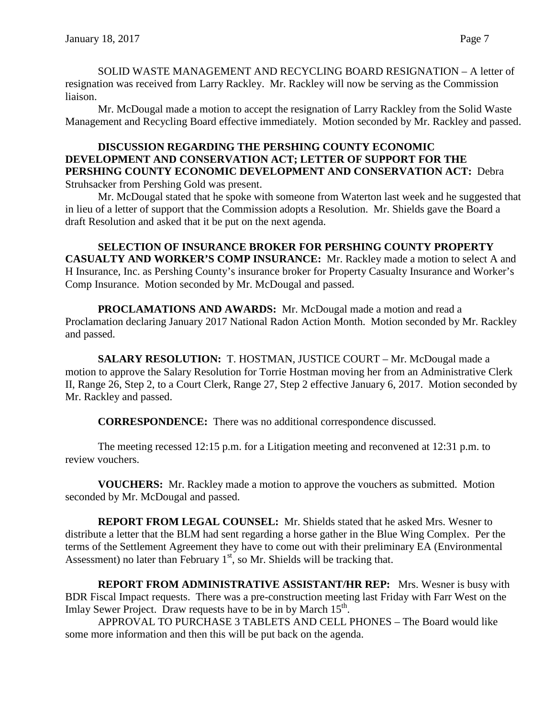SOLID WASTE MANAGEMENT AND RECYCLING BOARD RESIGNATION – A letter of resignation was received from Larry Rackley. Mr. Rackley will now be serving as the Commission liaison.

Mr. McDougal made a motion to accept the resignation of Larry Rackley from the Solid Waste Management and Recycling Board effective immediately. Motion seconded by Mr. Rackley and passed.

## **DISCUSSION REGARDING THE PERSHING COUNTY ECONOMIC DEVELOPMENT AND CONSERVATION ACT; LETTER OF SUPPORT FOR THE PERSHING COUNTY ECONOMIC DEVELOPMENT AND CONSERVATION ACT:** Debra Struhsacker from Pershing Gold was present.

Mr. McDougal stated that he spoke with someone from Waterton last week and he suggested that in lieu of a letter of support that the Commission adopts a Resolution. Mr. Shields gave the Board a draft Resolution and asked that it be put on the next agenda.

**SELECTION OF INSURANCE BROKER FOR PERSHING COUNTY PROPERTY CASUALTY AND WORKER'S COMP INSURANCE:** Mr. Rackley made a motion to select A and H Insurance, Inc. as Pershing County's insurance broker for Property Casualty Insurance and Worker's Comp Insurance. Motion seconded by Mr. McDougal and passed.

**PROCLAMATIONS AND AWARDS:** Mr. McDougal made a motion and read a Proclamation declaring January 2017 National Radon Action Month. Motion seconded by Mr. Rackley and passed.

**SALARY RESOLUTION:** T. HOSTMAN, JUSTICE COURT – Mr. McDougal made a motion to approve the Salary Resolution for Torrie Hostman moving her from an Administrative Clerk II, Range 26, Step 2, to a Court Clerk, Range 27, Step 2 effective January 6, 2017. Motion seconded by Mr. Rackley and passed.

**CORRESPONDENCE:** There was no additional correspondence discussed.

The meeting recessed 12:15 p.m. for a Litigation meeting and reconvened at 12:31 p.m. to review vouchers.

**VOUCHERS:** Mr. Rackley made a motion to approve the vouchers as submitted. Motion seconded by Mr. McDougal and passed.

**REPORT FROM LEGAL COUNSEL:** Mr. Shields stated that he asked Mrs. Wesner to distribute a letter that the BLM had sent regarding a horse gather in the Blue Wing Complex. Per the terms of the Settlement Agreement they have to come out with their preliminary EA (Environmental Assessment) no later than February  $1<sup>st</sup>$ , so Mr. Shields will be tracking that.

**REPORT FROM ADMINISTRATIVE ASSISTANT/HR REP:** Mrs. Wesner is busy with BDR Fiscal Impact requests. There was a pre-construction meeting last Friday with Farr West on the Imlay Sewer Project. Draw requests have to be in by March 15<sup>th</sup>.

APPROVAL TO PURCHASE 3 TABLETS AND CELL PHONES – The Board would like some more information and then this will be put back on the agenda.